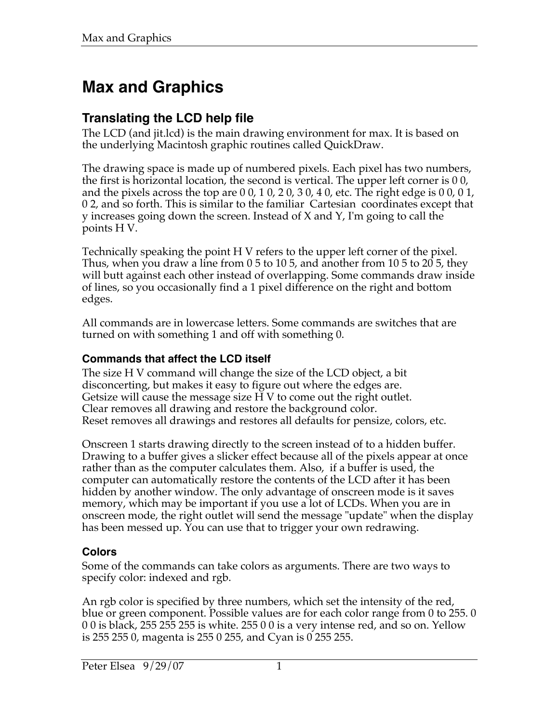# **Max and Graphics**

# **Translating the LCD help file**

The LCD (and jit.lcd) is the main drawing environment for max. It is based on the underlying Macintosh graphic routines called QuickDraw.

The drawing space is made up of numbered pixels. Each pixel has two numbers, the first is horizontal location, the second is vertical. The upper left corner is 0 0, and the pixels across the top are 0 0, 1 0, 2 0, 3 0, 4 0, etc. The right edge is 0 0, 0 1, 0 2, and so forth. This is similar to the familiar Cartesian coordinates except that y increases going down the screen. Instead of X and Y, I'm going to call the points H V.

Technically speaking the point H V refers to the upper left corner of the pixel. Thus, when you draw a line from 0 5 to 10 5, and another from 10 5 to 20 5, they will butt against each other instead of overlapping. Some commands draw inside of lines, so you occasionally find a 1 pixel difference on the right and bottom edges.

All commands are in lowercase letters. Some commands are switches that are turned on with something 1 and off with something 0.

## **Commands that affect the LCD itself**

The size H V command will change the size of the LCD object, a bit disconcerting, but makes it easy to figure out where the edges are. Getsize will cause the message size H V to come out the right outlet. Clear removes all drawing and restore the background color. Reset removes all drawings and restores all defaults for pensize, colors, etc.

Onscreen 1 starts drawing directly to the screen instead of to a hidden buffer. Drawing to a buffer gives a slicker effect because all of the pixels appear at once rather than as the computer calculates them. Also, if a buffer is used, the computer can automatically restore the contents of the LCD after it has been hidden by another window. The only advantage of onscreen mode is it saves memory, which may be important if you use a lot of LCDs. When you are in onscreen mode, the right outlet will send the message "update" when the display has been messed up. You can use that to trigger your own redrawing.

## **Colors**

Some of the commands can take colors as arguments. There are two ways to specify color: indexed and rgb.

An rgb color is specified by three numbers, which set the intensity of the red, blue or green component. Possible values are for each color range from 0 to 255. 0 0 0 is black, 255 255 255 is white. 255 0 0 is a very intense red, and so on. Yellow is 255 255 0, magenta is 255 0 255, and Cyan is 0 255 255.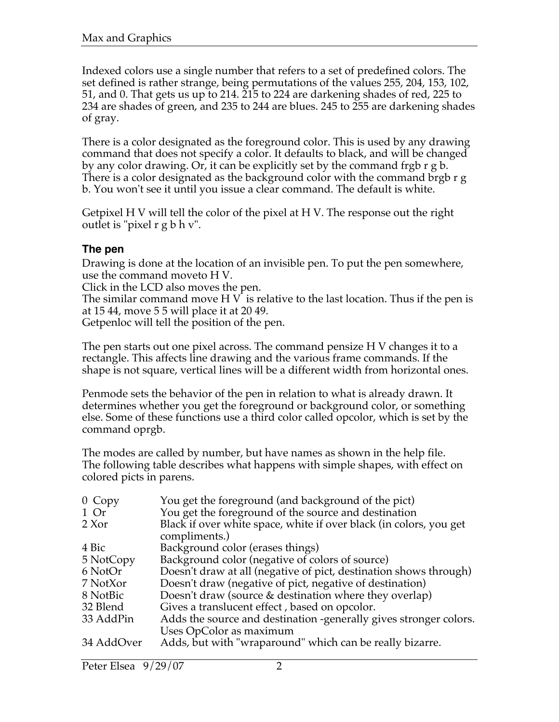Indexed colors use a single number that refers to a set of predefined colors. The set defined is rather strange, being permutations of the values 255, 204, 153, 102, 51, and 0. That gets us up to 214. 215 to 224 are darkening shades of red, 225 to 234 are shades of green, and 235 to 244 are blues. 245 to 255 are darkening shades of gray.

There is a color designated as the foreground color. This is used by any drawing command that does not specify a color. It defaults to black, and will be changed by any color drawing. Or, it can be explicitly set by the command frgb r g b. There is a color designated as the background color with the command brgb r g b. You won't see it until you issue a clear command. The default is white.

Getpixel H V will tell the color of the pixel at H V. The response out the right outlet is "pixel r g b h v".

#### **The pen**

Drawing is done at the location of an invisible pen. To put the pen somewhere, use the command moveto H V.

Click in the LCD also moves the pen.

The similar command move  $H V$  is relative to the last location. Thus if the pen is at 15 44, move 5 5 will place it at 20 49.

Getpenloc will tell the position of the pen.

The pen starts out one pixel across. The command pensize H V changes it to a rectangle. This affects line drawing and the various frame commands. If the shape is not square, vertical lines will be a different width from horizontal ones.

Penmode sets the behavior of the pen in relation to what is already drawn. It determines whether you get the foreground or background color, or something else. Some of these functions use a third color called opcolor, which is set by the command oprgb.

The modes are called by number, but have names as shown in the help file. The following table describes what happens with simple shapes, with effect on colored picts in parens.

| You get the foreground (and background of the pict)                                 |
|-------------------------------------------------------------------------------------|
| You get the foreground of the source and destination                                |
| Black if over white space, white if over black (in colors, you get<br>compliments.) |
| Background color (erases things)                                                    |
| Background color (negative of colors of source)                                     |
| Doesn't draw at all (negative of pict, destination shows through)                   |
| Doesn't draw (negative of pict, negative of destination)                            |
| Doesn't draw (source & destination where they overlap)                              |
| Gives a translucent effect, based on opcolor.                                       |
| Adds the source and destination -generally gives stronger colors.                   |
| Uses OpColor as maximum                                                             |
| Adds, but with "wraparound" which can be really bizarre.                            |
|                                                                                     |

Peter Elsea 9/29/07 2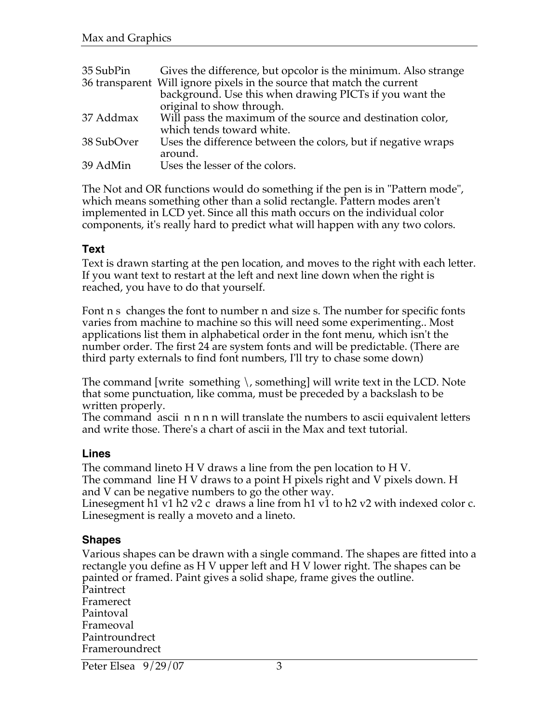| 35 SubPin  | Gives the difference, but opcolor is the minimum. Also strange         |
|------------|------------------------------------------------------------------------|
|            | 36 transparent Will ignore pixels in the source that match the current |
|            | background. Use this when drawing PICTs if you want the                |
|            | original to show through.                                              |
| 37 Addmax  | Will pass the maximum of the source and destination color,             |
|            | which tends toward white.                                              |
| 38 SubOver | Uses the difference between the colors, but if negative wraps          |
|            | around.                                                                |
| 39 AdMin   | Uses the lesser of the colors.                                         |

The Not and OR functions would do something if the pen is in "Pattern mode", which means something other than a solid rectangle. Pattern modes aren't implemented in LCD yet. Since all this math occurs on the individual color components, it's really hard to predict what will happen with any two colors.

#### **Text**

Text is drawn starting at the pen location, and moves to the right with each letter. If you want text to restart at the left and next line down when the right is reached, you have to do that yourself.

Font n s changes the font to number n and size s. The number for specific fonts varies from machine to machine so this will need some experimenting.. Most applications list them in alphabetical order in the font menu, which isn't the number order. The first 24 are system fonts and will be predictable. (There are third party externals to find font numbers, I'll try to chase some down)

The command [write something  $\setminus$ , something] will write text in the LCD. Note that some punctuation, like comma, must be preceded by a backslash to be written properly.

The command ascii n n n n will translate the numbers to ascii equivalent letters and write those. There's a chart of ascii in the Max and text tutorial.

#### **Lines**

The command lineto H V draws a line from the pen location to H V. The command line H V draws to a point H pixels right and V pixels down. H and V can be negative numbers to go the other way.

Linesegment h1 v1 h2 v2 c draws a line from h1 v1 to h2 v2 with indexed color c. Linesegment is really a moveto and a lineto.

#### **Shapes**

Various shapes can be drawn with a single command. The shapes are fitted into a rectangle you define as H V upper left and H V lower right. The shapes can be painted or framed. Paint gives a solid shape, frame gives the outline. **Paintrect** 

Framerect Paintoval Frameoval Paintroundrect Frameroundrect

Peter Elsea 9/29/07 3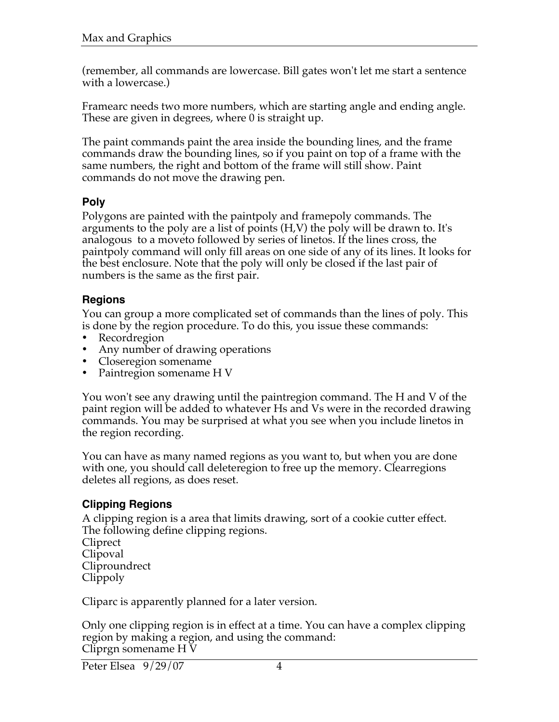(remember, all commands are lowercase. Bill gates won't let me start a sentence with a lowercase.)

Framearc needs two more numbers, which are starting angle and ending angle. These are given in degrees, where 0 is straight up.

The paint commands paint the area inside the bounding lines, and the frame commands draw the bounding lines, so if you paint on top of a frame with the same numbers, the right and bottom of the frame will still show. Paint commands do not move the drawing pen.

#### **Poly**

Polygons are painted with the paintpoly and framepoly commands. The arguments to the poly are a list of points (H,V) the poly will be drawn to. It's analogous to a moveto followed by series of linetos. If the lines cross, the paintpoly command will only fill areas on one side of any of its lines. It looks for the best enclosure. Note that the poly will only be closed if the last pair of numbers is the same as the first pair.

#### **Regions**

You can group a more complicated set of commands than the lines of poly. This is done by the region procedure. To do this, you issue these commands:

- Recordregion
- Any number of drawing operations
- Closeregion somename
- Paintregion somename H V

You won't see any drawing until the paintregion command. The H and V of the paint region will be added to whatever Hs and Vs were in the recorded drawing commands. You may be surprised at what you see when you include linetos in the region recording.

You can have as many named regions as you want to, but when you are done with one, you should call deleteregion to free up the memory. Clearregions deletes all regions, as does reset.

## **Clipping Regions**

A clipping region is a area that limits drawing, sort of a cookie cutter effect. The following define clipping regions.

Cliprect Clipoval Cliproundrect Clippoly

Cliparc is apparently planned for a later version.

Only one clipping region is in effect at a time. You can have a complex clipping region by making a region, and using the command: Cliprgn somename H V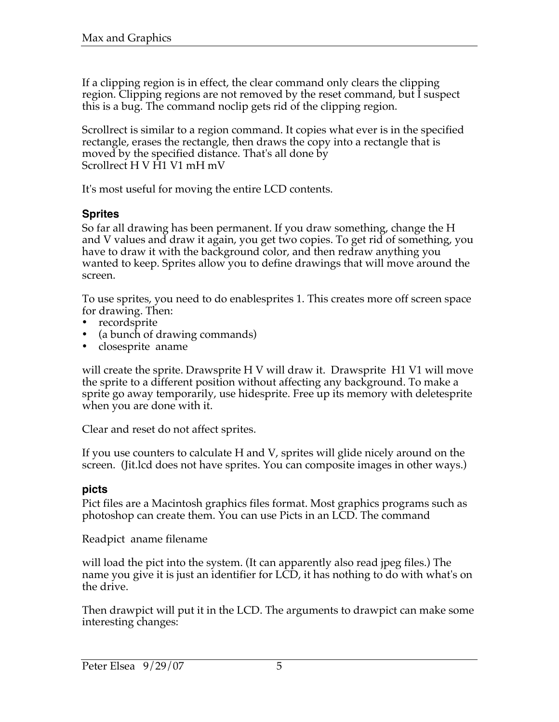If a clipping region is in effect, the clear command only clears the clipping region. Clipping regions are not removed by the reset command, but I suspect this is a bug. The command noclip gets rid of the clipping region.

Scrollrect is similar to a region command. It copies what ever is in the specified rectangle, erases the rectangle, then draws the copy into a rectangle that is moved by the specified distance. That's all done by Scrollrect H V H1 V1 mH mV

It's most useful for moving the entire LCD contents.

#### **Sprites**

So far all drawing has been permanent. If you draw something, change the H and V values and draw it again, you get two copies. To get rid of something, you have to draw it with the background color, and then redraw anything you wanted to keep. Sprites allow you to define drawings that will move around the screen.

To use sprites, you need to do enablesprites 1. This creates more off screen space for drawing. Then:

- recordsprite
- (a bunch of drawing commands)
- closesprite aname

will create the sprite. Drawsprite H V will draw it. Drawsprite H1 V1 will move the sprite to a different position without affecting any background. To make a sprite go away temporarily, use hidesprite. Free up its memory with deletesprite when you are done with it.

Clear and reset do not affect sprites.

If you use counters to calculate H and V, sprites will glide nicely around on the screen. (Jit.lcd does not have sprites. You can composite images in other ways.)

#### **picts**

Pict files are a Macintosh graphics files format. Most graphics programs such as photoshop can create them. You can use Picts in an LCD. The command

Readpict aname filename

will load the pict into the system. (It can apparently also read jpeg files.) The name you give it is just an identifier for LCD, it has nothing to do with what's on the drive.

Then drawpict will put it in the LCD. The arguments to drawpict can make some interesting changes: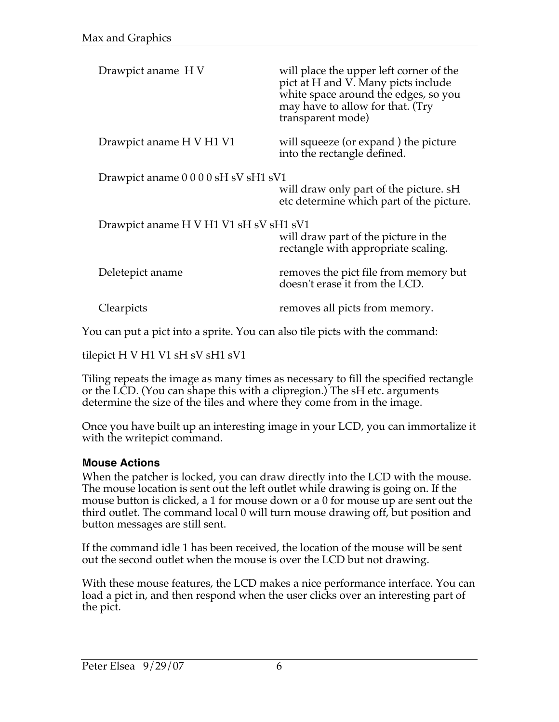| Drawpict aname HV                      | will place the upper left corner of the<br>pict at H and V. Many picts include<br>white space around the edges, so you<br>may have to allow for that. (Try<br>transparent mode) |
|----------------------------------------|---------------------------------------------------------------------------------------------------------------------------------------------------------------------------------|
| Drawpict aname H V H1 V1               | will squeeze (or expand) the picture<br>into the rectangle defined.                                                                                                             |
| Drawpict aname 0 0 0 0 sH sV sH1 sV1   | will draw only part of the picture. sH<br>etc determine which part of the picture.                                                                                              |
| Drawpict aname H V H1 V1 sH sV sH1 sV1 | will draw part of the picture in the<br>rectangle with appropriate scaling.                                                                                                     |
| Deletepict aname                       | removes the pict file from memory but<br>doesn't erase it from the LCD.                                                                                                         |
| Clearpicts                             | removes all picts from memory.                                                                                                                                                  |

You can put a pict into a sprite. You can also tile picts with the command:

tilepict H V H1 V1 sH sV sH1 sV1

Tiling repeats the image as many times as necessary to fill the specified rectangle or the LCD. (You can shape this with a clipregion.) The sH etc. arguments determine the size of the tiles and where they come from in the image.

Once you have built up an interesting image in your LCD, you can immortalize it with the writepict command.

#### **Mouse Actions**

When the patcher is locked, you can draw directly into the LCD with the mouse. The mouse location is sent out the left outlet while drawing is going on. If the mouse button is clicked, a 1 for mouse down or a 0 for mouse up are sent out the third outlet. The command local 0 will turn mouse drawing off, but position and button messages are still sent.

If the command idle 1 has been received, the location of the mouse will be sent out the second outlet when the mouse is over the LCD but not drawing.

With these mouse features, the LCD makes a nice performance interface. You can load a pict in, and then respond when the user clicks over an interesting part of the pict.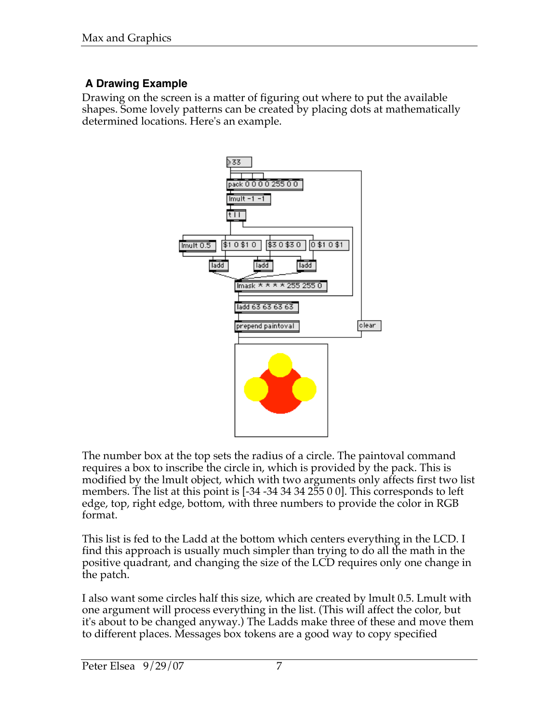# **A Drawing Example**

Drawing on the screen is a matter of figuring out where to put the available shapes. Some lovely patterns can be created by placing dots at mathematically determined locations. Here's an example.



The number box at the top sets the radius of a circle. The paintoval command requires a box to inscribe the circle in, which is provided by the pack. This is modified by the lmult object, which with two arguments only affects first two list members. The list at this point is [-34 -34 34 34 255 0 0]. This corresponds to left edge, top, right edge, bottom, with three numbers to provide the color in RGB format.

This list is fed to the Ladd at the bottom which centers everything in the LCD. I find this approach is usually much simpler than trying to do all the math in the positive quadrant, and changing the size of the LCD requires only one change in the patch.

I also want some circles half this size, which are created by lmult 0.5. Lmult with one argument will process everything in the list. (This will affect the color, but it's about to be changed anyway.) The Ladds make three of these and move them to different places. Messages box tokens are a good way to copy specified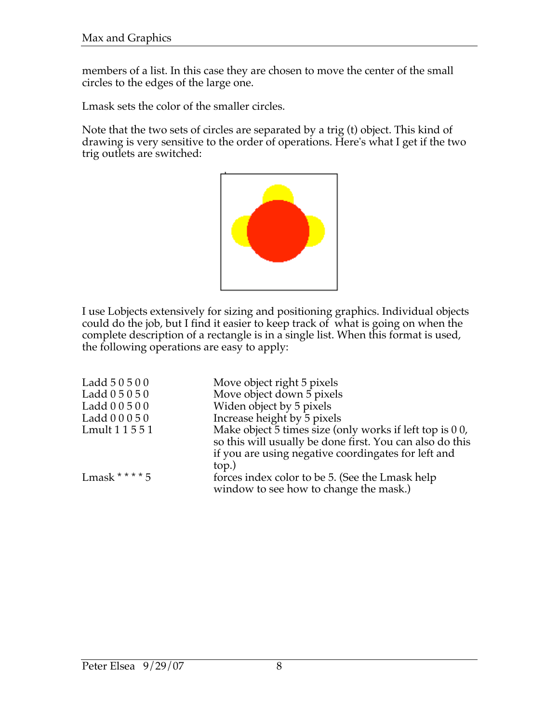members of a list. In this case they are chosen to move the center of the small circles to the edges of the large one.

Lmask sets the color of the smaller circles.

Note that the two sets of circles are separated by a trig (t) object. This kind of drawing is very sensitive to the order of operations. Here's what I get if the two trig outlets are switched:



I use Lobjects extensively for sizing and positioning graphics. Individual objects could do the job, but I find it easier to keep track of what is going on when the complete description of a rectangle is in a single list. When this format is used, the following operations are easy to apply:

| Ladd 50500      | Move object right 5 pixels                                                                |
|-----------------|-------------------------------------------------------------------------------------------|
| Ladd $05050$    | Move object down 5 pixels                                                                 |
| Ladd 0 0 5 0 0  | Widen object by 5 pixels                                                                  |
| Ladd $00050$    | Increase height by 5 pixels                                                               |
| Lmult 1 1 5 5 1 | Make object 5 times size (only works if left top is 0 0,                                  |
|                 | so this will usually be done first. You can also do this                                  |
|                 | if you are using negative coordingates for left and                                       |
|                 | top.)                                                                                     |
| Lmask **** $5$  | forces index color to be 5. (See the Lmask help<br>window to see how to change the mask.) |
|                 |                                                                                           |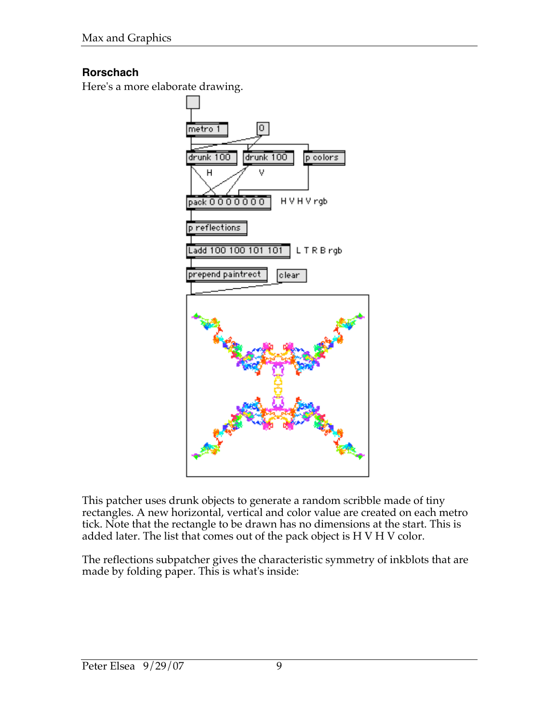## **Rorschach**

Here's a more elaborate drawing.



This patcher uses drunk objects to generate a random scribble made of tiny rectangles. A new horizontal, vertical and color value are created on each metro tick. Note that the rectangle to be drawn has no dimensions at the start. This is added later. The list that comes out of the pack object is H V H V color.

The reflections subpatcher gives the characteristic symmetry of inkblots that are made by folding paper. This is what's inside: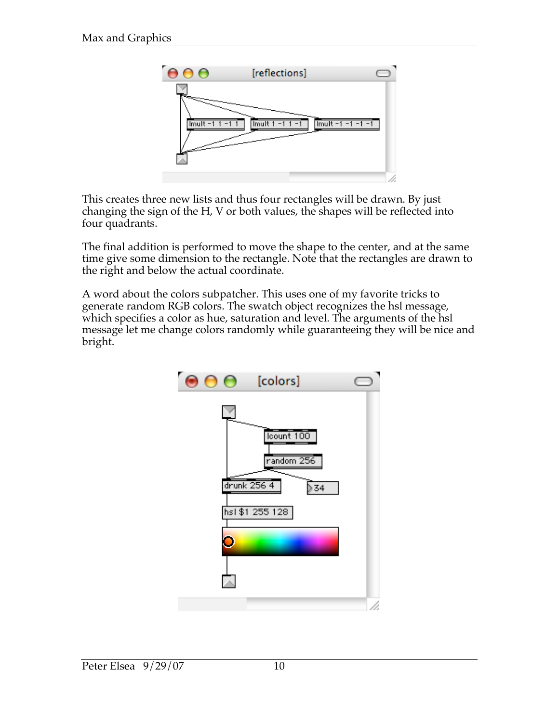

This creates three new lists and thus four rectangles will be drawn. By just changing the sign of the H, V or both values, the shapes will be reflected into four quadrants.

The final addition is performed to move the shape to the center, and at the same time give some dimension to the rectangle. Note that the rectangles are drawn to the right and below the actual coordinate.

A word about the colors subpatcher. This uses one of my favorite tricks to generate random RGB colors. The swatch object recognizes the hsl message, which specifies a color as hue, saturation and level. The arguments of the hsl message let me change colors randomly while guaranteeing they will be nice and bright.

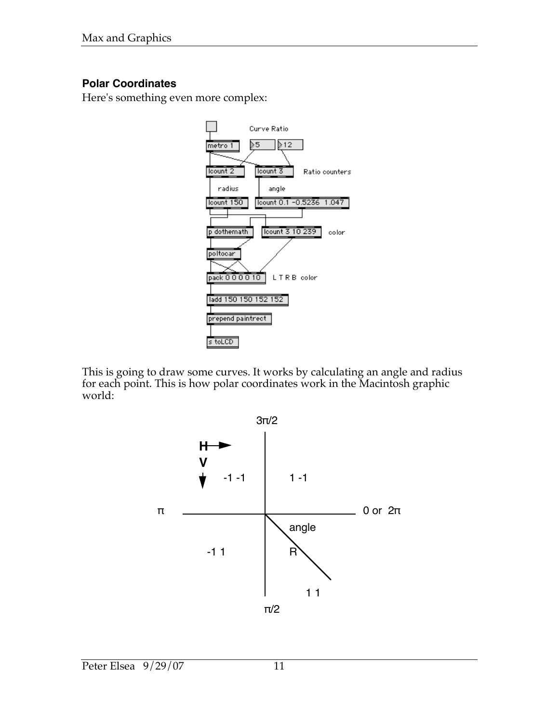## **Polar Coordinates**

Here's something even more complex:



This is going to draw some curves. It works by calculating an angle and radius for each point. This is how polar coordinates work in the Macintosh graphic world:

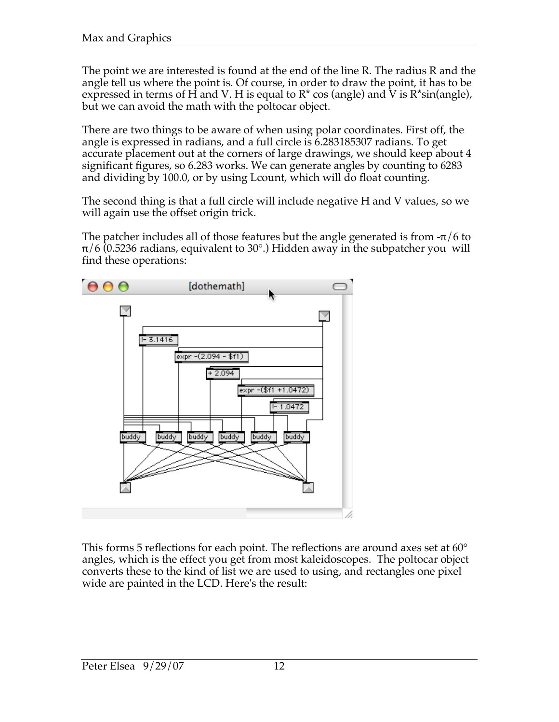The point we are interested is found at the end of the line R. The radius R and the angle tell us where the point is. Of course, in order to draw the point, it has to be expressed in terms of H and V. H is equal to  $R^*$  cos (angle) and V is  $R^*$ sin(angle), but we can avoid the math with the poltocar object.

There are two things to be aware of when using polar coordinates. First off, the angle is expressed in radians, and a full circle is 6.283185307 radians. To get accurate placement out at the corners of large drawings, we should keep about 4 significant figures, so 6.283 works. We can generate angles by counting to 6283 and dividing by 100.0, or by using Lcount, which will do float counting.

The second thing is that a full circle will include negative H and V values, so we will again use the offset origin trick.

The patcher includes all of those features but the angle generated is from  $-\pi/6$  to  $\pi/6$  (0.5236 radians, equivalent to 30°.) Hidden away in the subpatcher you will find these operations:



This forms 5 reflections for each point. The reflections are around axes set at 60° angles, which is the effect you get from most kaleidoscopes. The poltocar object converts these to the kind of list we are used to using, and rectangles one pixel wide are painted in the LCD. Here's the result: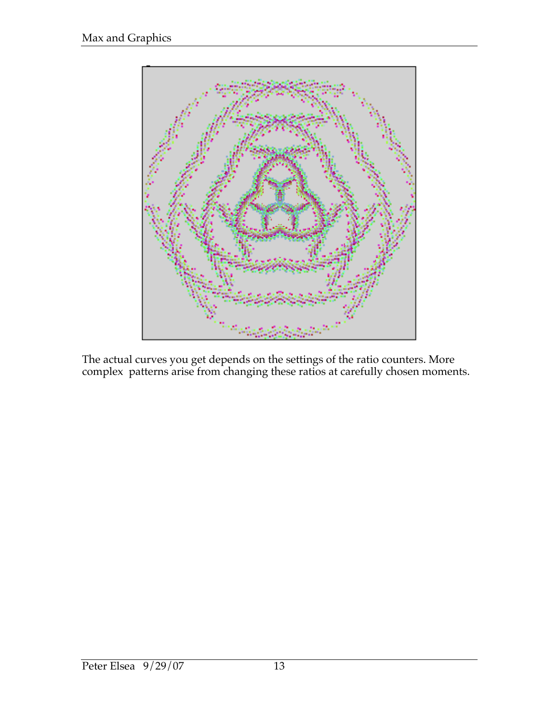

The actual curves you get depends on the settings of the ratio counters. More complex patterns arise from changing these ratios at carefully chosen moments.